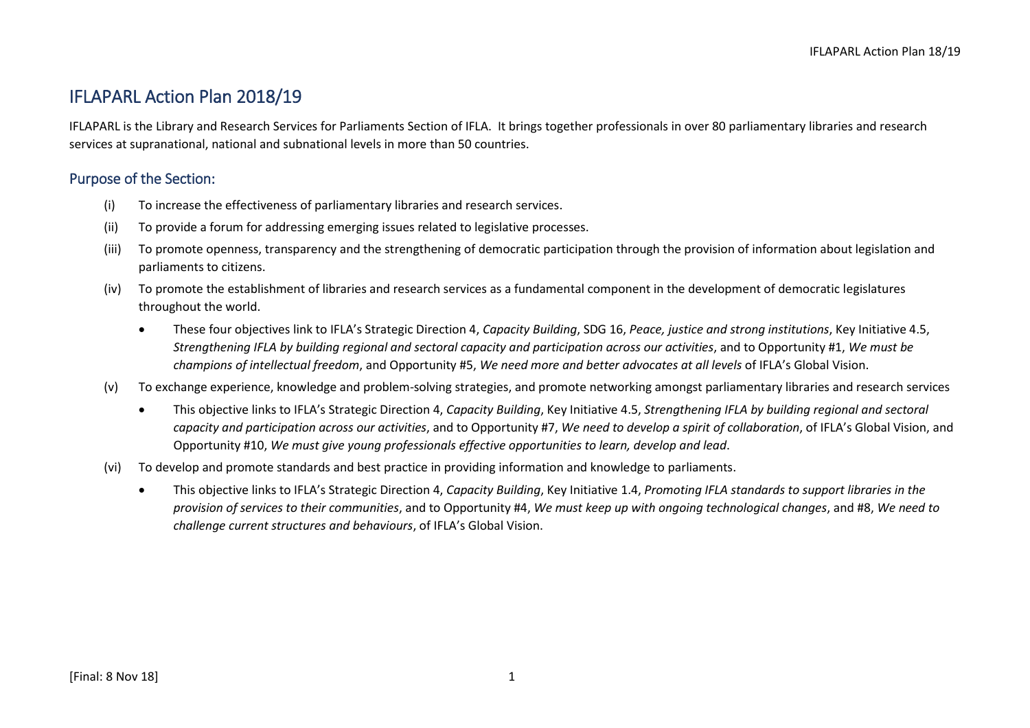IFLAPARL is the Library and Research Services for Parliaments Section of IFLA. It brings together professionals in over 80 parliamentary libraries and research services at supranational, national and subnational levels in more than 50 countries.

### Purpose of the Section:

- (i) To increase the effectiveness of parliamentary libraries and research services.
- (ii) To provide a forum for addressing emerging issues related to legislative processes.
- (iii) To promote openness, transparency and the strengthening of democratic participation through the provision of information about legislation and parliaments to citizens.
- (iv) To promote the establishment of libraries and research services as a fundamental component in the development of democratic legislatures throughout the world.
	- These four objectives link to IFLA's Strategic Direction 4, *Capacity Building*, SDG 16, *Peace, justice and strong institutions*, Key Initiative 4.5, *Strengthening IFLA by building regional and sectoral capacity and participation across our activities*, and to Opportunity #1, *We must be champions of intellectual freedom*, and Opportunity #5, *We need more and better advocates at all levels* of IFLA's Global Vision.
- (v) To exchange experience, knowledge and problem-solving strategies, and promote networking amongst parliamentary libraries and research services
	- This objective links to IFLA's Strategic Direction 4, *Capacity Building*, Key Initiative 4.5, *Strengthening IFLA by building regional and sectoral capacity and participation across our activities*, and to Opportunity #7, *We need to develop a spirit of collaboration*, of IFLA's Global Vision, and Opportunity #10, *We must give young professionals effective opportunities to learn, develop and lead*.
- (vi) To develop and promote standards and best practice in providing information and knowledge to parliaments.
	- This objective links to IFLA's Strategic Direction 4, *Capacity Building*, Key Initiative 1.4, *Promoting IFLA standards to support libraries in the provision of services to their communities*, and to Opportunity #4, *We must keep up with ongoing technological changes*, and #8, *We need to challenge current structures and behaviours*, of IFLA's Global Vision.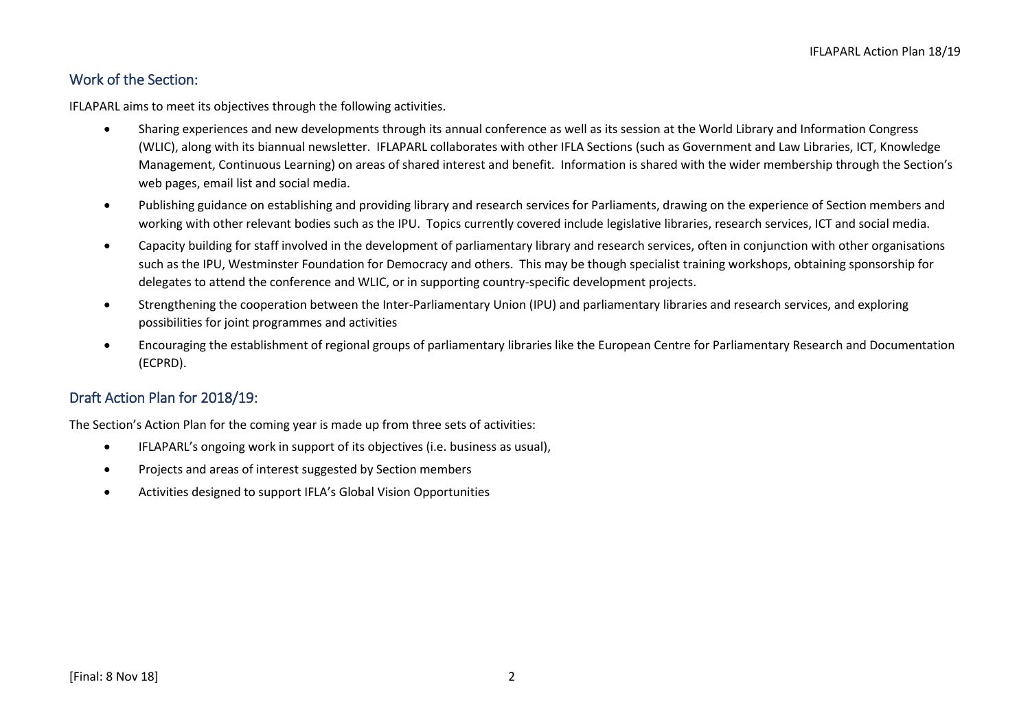### Work of the Section:

IFLAPARL aims to meet its objectives through the following activities.

- Sharing experiences and new developments through its annual conference as well as its session at the World Library and Information Congress (WLIC), along with its biannual newsletter. IFLAPARL collaborates with other IFLA Sections (such as Government and Law Libraries, ICT, Knowledge Management, Continuous Learning) on areas of shared interest and benefit. Information is shared with the wider membership through the Section's web pages, email list and social media.
- Publishing guidance on establishing and providing library and research services for Parliaments, drawing on the experience of Section members and working with other relevant bodies such as the IPU. Topics currently covered include legislative libraries, research services, ICT and social media.
- Capacity building for staff involved in the development of parliamentary library and research services, often in conjunction with other organisations such as the IPU, Westminster Foundation for Democracy and others. This may be though specialist training workshops, obtaining sponsorship for delegates to attend the conference and WLIC, or in supporting country-specific development projects.
- Strengthening the cooperation between the Inter-Parliamentary Union (IPU) and parliamentary libraries and research services, and exploring possibilities for joint programmes and activities
- Encouraging the establishment of regional groups of parliamentary libraries like the European Centre for Parliamentary Research and Documentation (ECPRD).

## Draft Action Plan for 2018/19:

The Section's Action Plan for the coming year is made up from three sets of activities:

- IFLAPARL's ongoing work in support of its objectives (i.e. business as usual),
- Projects and areas of interest suggested by Section members
- Activities designed to support IFLA's Global Vision Opportunities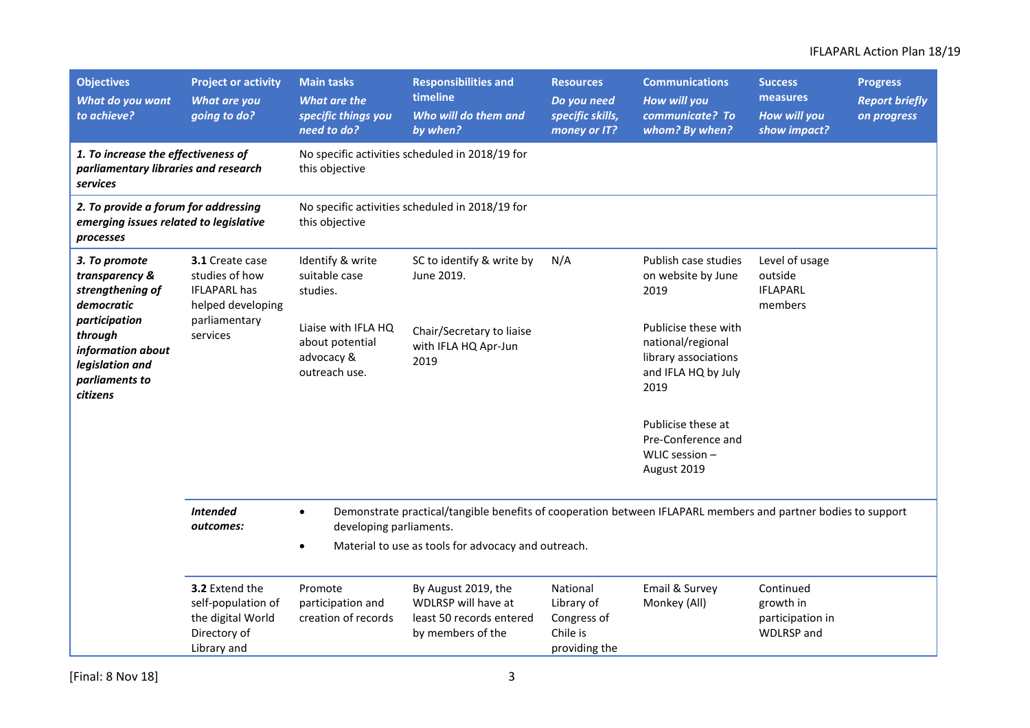| <b>Objectives</b><br>What do you want<br>to achieve?                                                                                                                | <b>Project or activity</b><br>What are you<br>going to do?                               | <b>Main tasks</b><br>What are the<br>specific things you<br>need to do?                                                                                                                                                   | <b>Responsibilities and</b><br>timeline<br>Who will do them and<br>by when?                 | <b>Resources</b><br>Do you need<br>specific skills,<br>money or IT? | <b>Communications</b><br>How will you<br>communicate? To<br>whom? By when?                       | <b>Success</b><br>measures<br><b>How will you</b><br>show impact? | <b>Progress</b><br><b>Report briefly</b><br>on progress |
|---------------------------------------------------------------------------------------------------------------------------------------------------------------------|------------------------------------------------------------------------------------------|---------------------------------------------------------------------------------------------------------------------------------------------------------------------------------------------------------------------------|---------------------------------------------------------------------------------------------|---------------------------------------------------------------------|--------------------------------------------------------------------------------------------------|-------------------------------------------------------------------|---------------------------------------------------------|
| 1. To increase the effectiveness of<br>parliamentary libraries and research<br><b>services</b>                                                                      |                                                                                          | this objective                                                                                                                                                                                                            | No specific activities scheduled in 2018/19 for                                             |                                                                     |                                                                                                  |                                                                   |                                                         |
| 2. To provide a forum for addressing<br>emerging issues related to legislative<br>processes                                                                         |                                                                                          | this objective                                                                                                                                                                                                            | No specific activities scheduled in 2018/19 for                                             |                                                                     |                                                                                                  |                                                                   |                                                         |
| 3. To promote<br>transparency &<br>strengthening of<br>democratic<br>participation<br>through<br>information about<br>legislation and<br>parliaments to<br>citizens | 3.1 Create case<br>studies of how<br><b>IFLAPARL has</b><br>helped developing            | Identify & write<br>suitable case<br>studies.                                                                                                                                                                             | SC to identify & write by<br>June 2019.                                                     | N/A                                                                 | Publish case studies<br>on website by June<br>2019                                               | Level of usage<br>outside<br><b>IFLAPARL</b><br>members           |                                                         |
|                                                                                                                                                                     | parliamentary<br>services                                                                | Liaise with IFLA HQ<br>about potential<br>advocacy &<br>outreach use.                                                                                                                                                     | Chair/Secretary to liaise<br>with IFLA HQ Apr-Jun<br>2019                                   |                                                                     | Publicise these with<br>national/regional<br>library associations<br>and IFLA HQ by July<br>2019 |                                                                   |                                                         |
|                                                                                                                                                                     |                                                                                          |                                                                                                                                                                                                                           |                                                                                             |                                                                     | Publicise these at<br>Pre-Conference and<br>WLIC session -<br>August 2019                        |                                                                   |                                                         |
|                                                                                                                                                                     | <b>Intended</b><br>outcomes:                                                             | Demonstrate practical/tangible benefits of cooperation between IFLAPARL members and partner bodies to support<br>$\bullet$<br>developing parliaments.<br>Material to use as tools for advocacy and outreach.<br>$\bullet$ |                                                                                             |                                                                     |                                                                                                  |                                                                   |                                                         |
|                                                                                                                                                                     | 3.2 Extend the<br>self-population of<br>the digital World<br>Directory of<br>Library and | Promote<br>participation and<br>creation of records                                                                                                                                                                       | By August 2019, the<br>WDLRSP will have at<br>least 50 records entered<br>by members of the | National<br>Library of<br>Congress of<br>Chile is<br>providing the  | Email & Survey<br>Monkey (All)                                                                   | Continued<br>growth in<br>participation in<br><b>WDLRSP</b> and   |                                                         |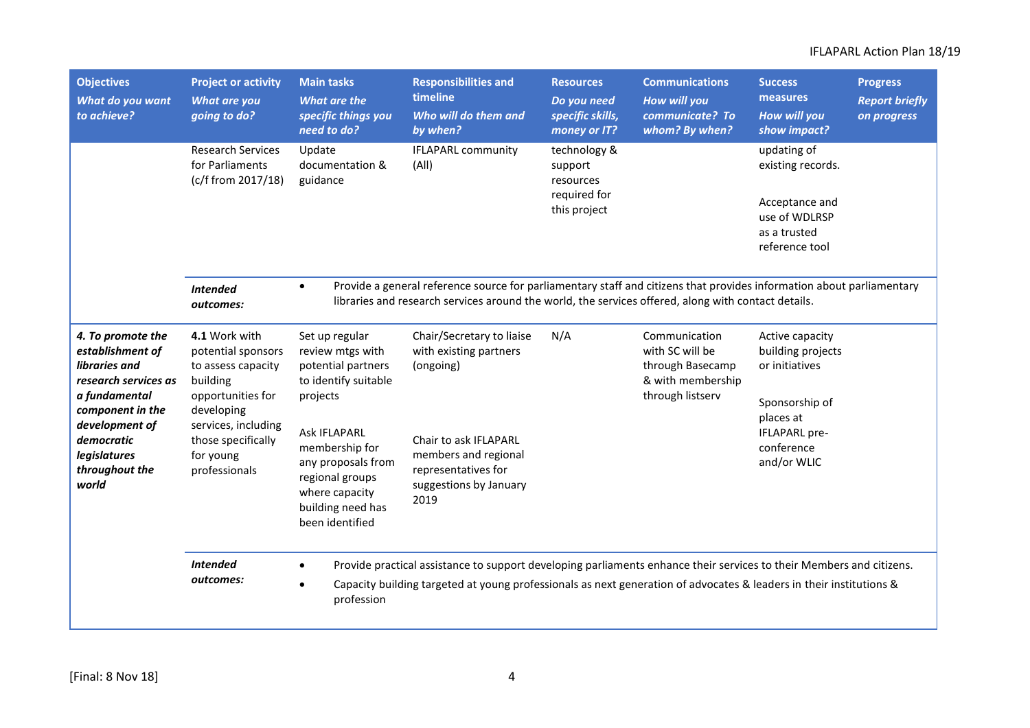| <b>Objectives</b><br><b>What do you want</b><br>to achieve?                                                                                                                                    | <b>Project or activity</b><br><b>What are you</b><br>going to do?                                                                                                                   | <b>Main tasks</b><br>What are the<br>specific things you<br>need to do?                                                                  | <b>Responsibilities and</b><br>timeline<br>Who will do them and<br>by when?                                                                                                                                                                 | <b>Resources</b><br>Do you need<br>specific skills,<br>money or IT?  | <b>Communications</b><br><b>How will you</b><br>communicate? To<br>whom? By when?             | <b>Success</b><br>measures<br><b>How will you</b><br>show impact?                                     | <b>Progress</b><br><b>Report briefly</b><br>on progress |
|------------------------------------------------------------------------------------------------------------------------------------------------------------------------------------------------|-------------------------------------------------------------------------------------------------------------------------------------------------------------------------------------|------------------------------------------------------------------------------------------------------------------------------------------|---------------------------------------------------------------------------------------------------------------------------------------------------------------------------------------------------------------------------------------------|----------------------------------------------------------------------|-----------------------------------------------------------------------------------------------|-------------------------------------------------------------------------------------------------------|---------------------------------------------------------|
|                                                                                                                                                                                                | <b>Research Services</b><br>for Parliaments<br>(c/f from 2017/18)                                                                                                                   | Update<br>documentation &<br>guidance                                                                                                    | <b>IFLAPARL community</b><br>(A  )                                                                                                                                                                                                          | technology &<br>support<br>resources<br>required for<br>this project |                                                                                               | updating of<br>existing records.<br>Acceptance and<br>use of WDLRSP<br>as a trusted<br>reference tool |                                                         |
|                                                                                                                                                                                                | <b>Intended</b><br>outcomes:                                                                                                                                                        | $\bullet$                                                                                                                                | Provide a general reference source for parliamentary staff and citizens that provides information about parliamentary<br>libraries and research services around the world, the services offered, along with contact details.                |                                                                      |                                                                                               |                                                                                                       |                                                         |
| 4. To promote the<br>establishment of<br>libraries and<br>research services as<br>a fundamental<br>component in the<br>development of<br>democratic<br>legislatures<br>throughout the<br>world | 4.1 Work with<br>potential sponsors<br>to assess capacity<br>building<br>opportunities for<br>developing<br>services, including<br>those specifically<br>for young<br>professionals | Set up regular<br>review mtgs with<br>potential partners<br>to identify suitable<br>projects                                             | Chair/Secretary to liaise<br>with existing partners<br>(ongoing)                                                                                                                                                                            | N/A                                                                  | Communication<br>with SC will be<br>through Basecamp<br>& with membership<br>through listserv | Active capacity<br>building projects<br>or initiatives<br>Sponsorship of<br>places at                 |                                                         |
|                                                                                                                                                                                                |                                                                                                                                                                                     | <b>Ask IFLAPARL</b><br>membership for<br>any proposals from<br>regional groups<br>where capacity<br>building need has<br>been identified | Chair to ask IFLAPARL<br>members and regional<br>representatives for<br>suggestions by January<br>2019                                                                                                                                      |                                                                      |                                                                                               | IFLAPARL pre-<br>conference<br>and/or WLIC                                                            |                                                         |
|                                                                                                                                                                                                | <b>Intended</b><br>outcomes:                                                                                                                                                        | profession                                                                                                                               | Provide practical assistance to support developing parliaments enhance their services to their Members and citizens.<br>Capacity building targeted at young professionals as next generation of advocates & leaders in their institutions & |                                                                      |                                                                                               |                                                                                                       |                                                         |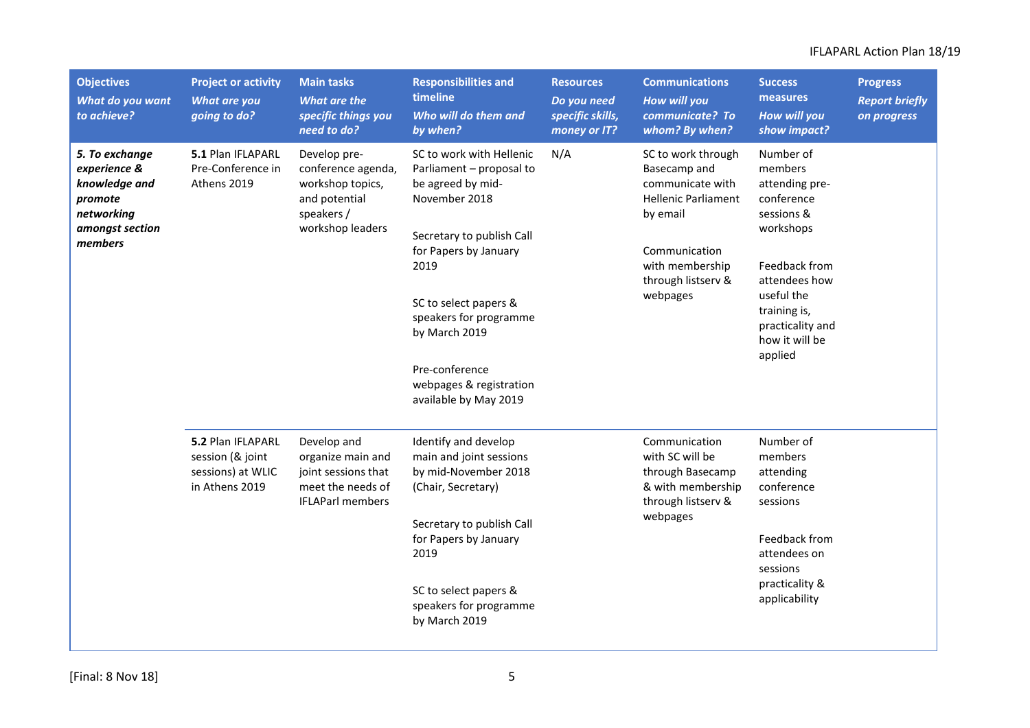| <b>Objectives</b><br>What do you want<br>to achieve?                                                   | <b>Project or activity</b><br><b>What are you</b><br>going to do?            | <b>Main tasks</b><br><b>What are the</b><br>specific things you<br>need to do?                          | <b>Responsibilities and</b><br>timeline<br>Who will do them and<br>by when?                                                                                                                                                                                                                        | <b>Resources</b><br>Do you need<br>specific skills,<br>money or IT? | <b>Communications</b><br>How will you<br>communicate? To<br>whom? By when?                                                                                             | <b>Success</b><br>measures<br><b>How will you</b><br>show impact?                                                                                                                                | <b>Progress</b><br><b>Report briefly</b><br>on progress |
|--------------------------------------------------------------------------------------------------------|------------------------------------------------------------------------------|---------------------------------------------------------------------------------------------------------|----------------------------------------------------------------------------------------------------------------------------------------------------------------------------------------------------------------------------------------------------------------------------------------------------|---------------------------------------------------------------------|------------------------------------------------------------------------------------------------------------------------------------------------------------------------|--------------------------------------------------------------------------------------------------------------------------------------------------------------------------------------------------|---------------------------------------------------------|
| 5. To exchange<br>experience &<br>knowledge and<br>promote<br>networking<br>amongst section<br>members | 5.1 Plan IFLAPARL<br>Pre-Conference in<br>Athens 2019<br>speakers /          | Develop pre-<br>conference agenda,<br>workshop topics,<br>and potential<br>workshop leaders             | SC to work with Hellenic<br>Parliament - proposal to<br>be agreed by mid-<br>November 2018<br>Secretary to publish Call<br>for Papers by January<br>2019<br>SC to select papers &<br>speakers for programme<br>by March 2019<br>Pre-conference<br>webpages & registration<br>available by May 2019 | N/A                                                                 | SC to work through<br>Basecamp and<br>communicate with<br><b>Hellenic Parliament</b><br>by email<br>Communication<br>with membership<br>through listserv &<br>webpages | Number of<br>members<br>attending pre-<br>conference<br>sessions &<br>workshops<br>Feedback from<br>attendees how<br>useful the<br>training is,<br>practicality and<br>how it will be<br>applied |                                                         |
|                                                                                                        | 5.2 Plan IFLAPARL<br>session (& joint<br>sessions) at WLIC<br>in Athens 2019 | Develop and<br>organize main and<br>joint sessions that<br>meet the needs of<br><b>IFLAParl members</b> | Identify and develop<br>main and joint sessions<br>by mid-November 2018<br>(Chair, Secretary)<br>Secretary to publish Call<br>for Papers by January<br>2019<br>SC to select papers &<br>speakers for programme<br>by March 2019                                                                    |                                                                     | Communication<br>with SC will be<br>through Basecamp<br>& with membership<br>through listserv &<br>webpages                                                            | Number of<br>members<br>attending<br>conference<br>sessions<br>Feedback from<br>attendees on<br>sessions<br>practicality &<br>applicability                                                      |                                                         |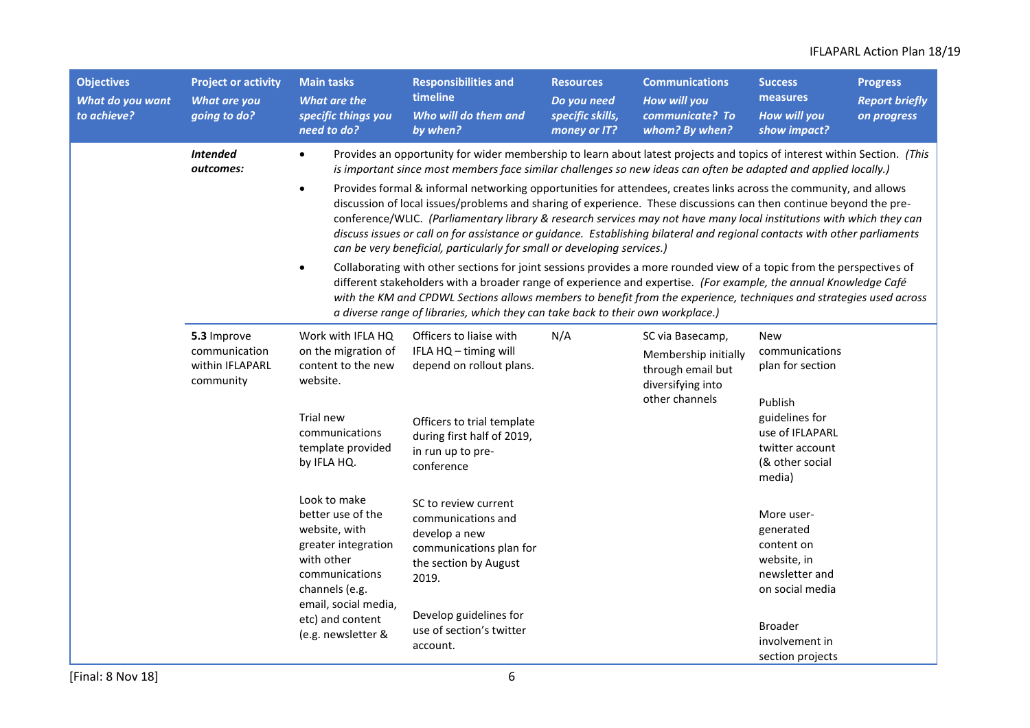| <b>Objectives</b><br>What do you want<br>to achieve? | <b>Project or activity</b><br>What are you<br>going to do?                                                                                          | <b>Main tasks</b><br><b>What are the</b><br>specific things you<br>need to do?                                                                     | <b>Responsibilities and</b><br>timeline<br>Who will do them and<br>by when?                                                                                                                                                                                                                                                                                                                                                                                                                                                                                                                                                                                                                                                                                                                                                                                                                                                                                                                                                                                         | <b>Resources</b><br>Do you need<br>specific skills,<br>money or IT?                                                                                                                                                                                                                                                   | <b>Communications</b><br>How will you<br>communicate? To<br>whom? By when?                | <b>Success</b><br>measures<br>How will you<br>show impact?                                                                                       | <b>Progress</b><br><b>Report briefly</b><br>on progress |
|------------------------------------------------------|-----------------------------------------------------------------------------------------------------------------------------------------------------|----------------------------------------------------------------------------------------------------------------------------------------------------|---------------------------------------------------------------------------------------------------------------------------------------------------------------------------------------------------------------------------------------------------------------------------------------------------------------------------------------------------------------------------------------------------------------------------------------------------------------------------------------------------------------------------------------------------------------------------------------------------------------------------------------------------------------------------------------------------------------------------------------------------------------------------------------------------------------------------------------------------------------------------------------------------------------------------------------------------------------------------------------------------------------------------------------------------------------------|-----------------------------------------------------------------------------------------------------------------------------------------------------------------------------------------------------------------------------------------------------------------------------------------------------------------------|-------------------------------------------------------------------------------------------|--------------------------------------------------------------------------------------------------------------------------------------------------|---------------------------------------------------------|
|                                                      | <b>Intended</b><br>outcomes:                                                                                                                        | $\bullet$<br>$\bullet$<br>$\bullet$                                                                                                                | Provides an opportunity for wider membership to learn about latest projects and topics of interest within Section. (This<br>is important since most members face similar challenges so new ideas can often be adapted and applied locally.)<br>Provides formal & informal networking opportunities for attendees, creates links across the community, and allows<br>discussion of local issues/problems and sharing of experience. These discussions can then continue beyond the pre-<br>conference/WLIC. (Parliamentary library & research services may not have many local institutions with which they can<br>discuss issues or call on for assistance or guidance. Establishing bilateral and regional contacts with other parliaments<br>can be very beneficial, particularly for small or developing services.)<br>Collaborating with other sections for joint sessions provides a more rounded view of a topic from the perspectives of<br>different stakeholders with a broader range of experience and expertise. (For example, the annual Knowledge Café |                                                                                                                                                                                                                                                                                                                       |                                                                                           |                                                                                                                                                  |                                                         |
|                                                      | 5.3 Improve<br>communication<br>within IFLAPARL<br>community                                                                                        | Work with IFLA HQ<br>on the migration of<br>content to the new<br>website.<br>Trial new<br>communications<br>template provided<br>by IFLA HQ.      | Officers to liaise with<br>IFLA HQ - timing will<br>depend on rollout plans.<br>Officers to trial template<br>during first half of 2019,<br>in run up to pre-<br>conference                                                                                                                                                                                                                                                                                                                                                                                                                                                                                                                                                                                                                                                                                                                                                                                                                                                                                         | with the KM and CPDWL Sections allows members to benefit from the experience, techniques and strategies used across<br>a diverse range of libraries, which they can take back to their own workplace.)<br>N/A<br>SC via Basecamp,<br>Membership initially<br>through email but<br>diversifying into<br>other channels |                                                                                           | <b>New</b><br>communications<br>plan for section<br>Publish<br>guidelines for<br>use of IFLAPARL<br>twitter account<br>(& other social<br>media) |                                                         |
|                                                      | Look to make<br>better use of the<br>website, with<br>greater integration<br>with other<br>communications<br>channels (e.g.<br>email, social media, | SC to review current<br>communications and<br>develop a new<br>communications plan for<br>the section by August<br>2019.<br>Develop guidelines for |                                                                                                                                                                                                                                                                                                                                                                                                                                                                                                                                                                                                                                                                                                                                                                                                                                                                                                                                                                                                                                                                     |                                                                                                                                                                                                                                                                                                                       | More user-<br>generated<br>content on<br>website, in<br>newsletter and<br>on social media |                                                                                                                                                  |                                                         |
|                                                      | etc) and content<br>(e.g. newsletter &                                                                                                              | use of section's twitter<br>account.                                                                                                               |                                                                                                                                                                                                                                                                                                                                                                                                                                                                                                                                                                                                                                                                                                                                                                                                                                                                                                                                                                                                                                                                     |                                                                                                                                                                                                                                                                                                                       | <b>Broader</b><br>involvement in<br>section projects                                      |                                                                                                                                                  |                                                         |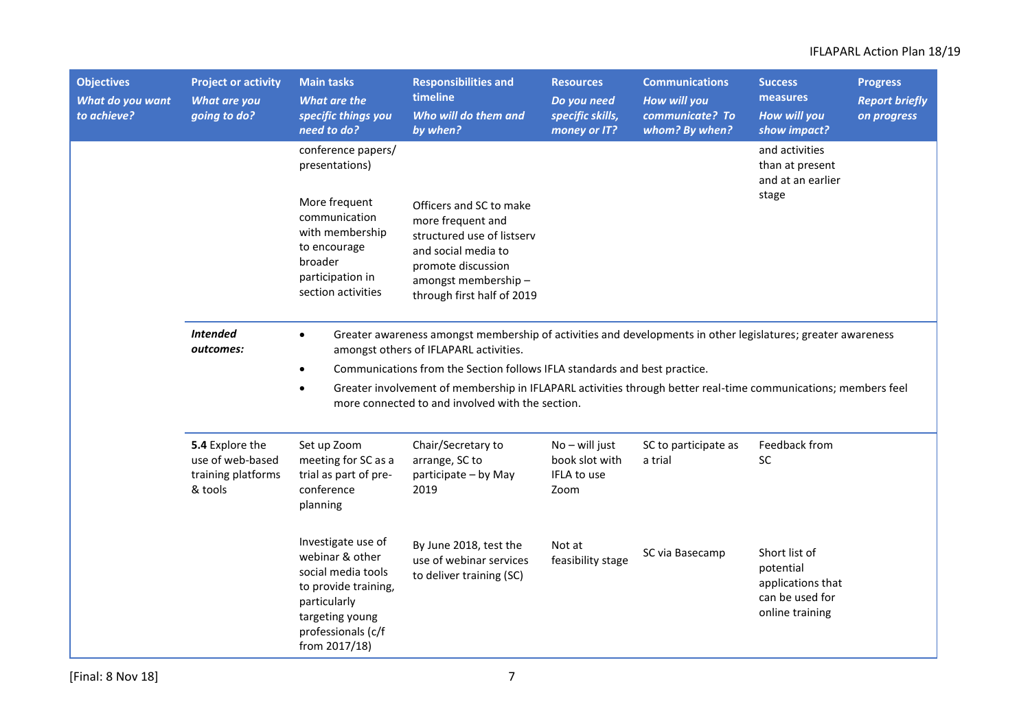| <b>Objectives</b><br>What do you want<br>to achieve? | <b>Project or activity</b><br>What are you<br>going to do?           | <b>Main tasks</b><br><b>What are the</b><br>specific things you<br>need to do?                                                                                | <b>Responsibilities and</b><br>timeline<br>Who will do them and<br>by when?                                                                                                                                                                                                                                                                                                                               | <b>Resources</b><br>Do you need<br>specific skills,<br>money or IT? | <b>Communications</b><br>How will you<br>communicate? To<br>whom? By when? | <b>Success</b><br>measures<br><b>How will you</b><br>show impact?                     | <b>Progress</b><br><b>Report briefly</b><br>on progress |
|------------------------------------------------------|----------------------------------------------------------------------|---------------------------------------------------------------------------------------------------------------------------------------------------------------|-----------------------------------------------------------------------------------------------------------------------------------------------------------------------------------------------------------------------------------------------------------------------------------------------------------------------------------------------------------------------------------------------------------|---------------------------------------------------------------------|----------------------------------------------------------------------------|---------------------------------------------------------------------------------------|---------------------------------------------------------|
|                                                      |                                                                      | conference papers/<br>presentations)<br>More frequent                                                                                                         |                                                                                                                                                                                                                                                                                                                                                                                                           |                                                                     |                                                                            | and activities<br>than at present<br>and at an earlier<br>stage                       |                                                         |
|                                                      |                                                                      | communication<br>with membership<br>to encourage<br>broader<br>participation in<br>section activities                                                         | Officers and SC to make<br>more frequent and<br>structured use of listserv<br>and social media to<br>promote discussion<br>amongst membership-<br>through first half of 2019                                                                                                                                                                                                                              |                                                                     |                                                                            |                                                                                       |                                                         |
|                                                      | <b>Intended</b><br>outcomes:                                         | $\bullet$<br>$\bullet$<br>$\bullet$                                                                                                                           | Greater awareness amongst membership of activities and developments in other legislatures; greater awareness<br>amongst others of IFLAPARL activities.<br>Communications from the Section follows IFLA standards and best practice.<br>Greater involvement of membership in IFLAPARL activities through better real-time communications; members feel<br>more connected to and involved with the section. |                                                                     |                                                                            |                                                                                       |                                                         |
|                                                      | 5.4 Explore the<br>use of web-based<br>training platforms<br>& tools | Set up Zoom<br>meeting for SC as a<br>trial as part of pre-<br>conference<br>planning                                                                         | Chair/Secretary to<br>arrange, SC to<br>participate - by May<br>2019                                                                                                                                                                                                                                                                                                                                      | $No - will just$<br>book slot with<br>IFLA to use<br>Zoom           | SC to participate as<br>a trial                                            | Feedback from<br><b>SC</b>                                                            |                                                         |
|                                                      |                                                                      | Investigate use of<br>webinar & other<br>social media tools<br>to provide training,<br>particularly<br>targeting young<br>professionals (c/f<br>from 2017/18) | By June 2018, test the<br>use of webinar services<br>to deliver training (SC)                                                                                                                                                                                                                                                                                                                             | Not at<br>feasibility stage                                         | SC via Basecamp                                                            | Short list of<br>potential<br>applications that<br>can be used for<br>online training |                                                         |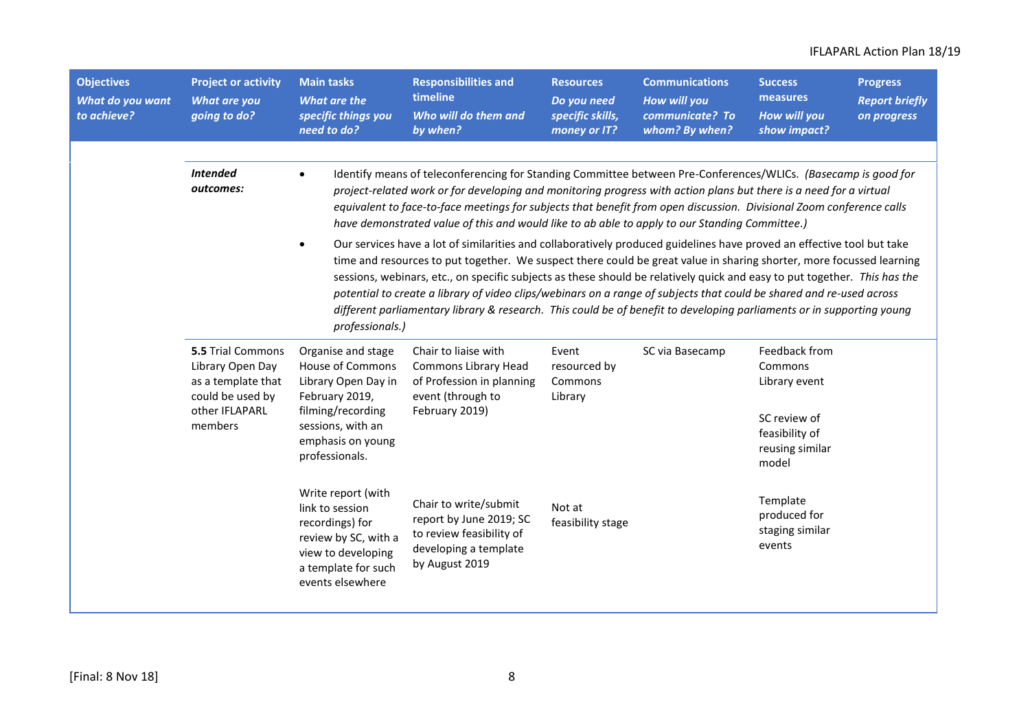| <b>Objectives</b><br>What do you want<br>to achieve? | <b>Project or activity</b><br>What are you<br>going to do?                                                                                                                                                                                                                              | <b>Main tasks</b><br>What are the<br>specific things you<br>need to do?                                                                           | <b>Responsibilities and</b><br>timeline<br>Who will do them and<br>by when?                                                                                                                                                                                                                                                                                                                                                                                                                                                                                                                                                                                                                                                                                                                                                                                                                                                                                                                                                                                                                    | <b>Resources</b><br>Do you need<br>specific skills,<br>money or IT? | <b>Communications</b><br>How will you<br>communicate? To<br>whom? By when? | <b>Success</b><br>measures<br><b>How will you</b><br>show impact?                                       | <b>Progress</b><br><b>Report briefly</b><br>on progress |
|------------------------------------------------------|-----------------------------------------------------------------------------------------------------------------------------------------------------------------------------------------------------------------------------------------------------------------------------------------|---------------------------------------------------------------------------------------------------------------------------------------------------|------------------------------------------------------------------------------------------------------------------------------------------------------------------------------------------------------------------------------------------------------------------------------------------------------------------------------------------------------------------------------------------------------------------------------------------------------------------------------------------------------------------------------------------------------------------------------------------------------------------------------------------------------------------------------------------------------------------------------------------------------------------------------------------------------------------------------------------------------------------------------------------------------------------------------------------------------------------------------------------------------------------------------------------------------------------------------------------------|---------------------------------------------------------------------|----------------------------------------------------------------------------|---------------------------------------------------------------------------------------------------------|---------------------------------------------------------|
|                                                      | <b>Intended</b><br>outcomes:                                                                                                                                                                                                                                                            | $\bullet$<br>professionals.)                                                                                                                      | Identify means of teleconferencing for Standing Committee between Pre-Conferences/WLICs. (Basecamp is good for<br>project-related work or for developing and monitoring progress with action plans but there is a need for a virtual<br>equivalent to face-to-face meetings for subjects that benefit from open discussion. Divisional Zoom conference calls<br>have demonstrated value of this and would like to ab able to apply to our Standing Committee.)<br>Our services have a lot of similarities and collaboratively produced guidelines have proved an effective tool but take<br>time and resources to put together. We suspect there could be great value in sharing shorter, more focussed learning<br>sessions, webinars, etc., on specific subjects as these should be relatively quick and easy to put together. This has the<br>potential to create a library of video clips/webinars on a range of subjects that could be shared and re-used across<br>different parliamentary library & research. This could be of benefit to developing parliaments or in supporting young |                                                                     |                                                                            |                                                                                                         |                                                         |
|                                                      | 5.5 Trial Commons<br>Organise and stage<br><b>House of Commons</b><br>Library Open Day<br>as a template that<br>Library Open Day in<br>could be used by<br>February 2019,<br>other IFLAPARL<br>filming/recording<br>members<br>sessions, with an<br>emphasis on young<br>professionals. |                                                                                                                                                   | Chair to liaise with<br>Event<br>Commons Library Head<br>resourced by<br>of Profession in planning<br>Commons<br>event (through to<br>Library<br>February 2019)                                                                                                                                                                                                                                                                                                                                                                                                                                                                                                                                                                                                                                                                                                                                                                                                                                                                                                                                |                                                                     | SC via Basecamp                                                            | Feedback from<br>Commons<br>Library event<br>SC review of<br>feasibility of<br>reusing similar<br>model |                                                         |
|                                                      |                                                                                                                                                                                                                                                                                         | Write report (with<br>link to session<br>recordings) for<br>review by SC, with a<br>view to developing<br>a template for such<br>events elsewhere | Chair to write/submit<br>report by June 2019; SC<br>to review feasibility of<br>developing a template<br>by August 2019                                                                                                                                                                                                                                                                                                                                                                                                                                                                                                                                                                                                                                                                                                                                                                                                                                                                                                                                                                        | Not at<br>feasibility stage                                         |                                                                            | Template<br>produced for<br>staging similar<br>events                                                   |                                                         |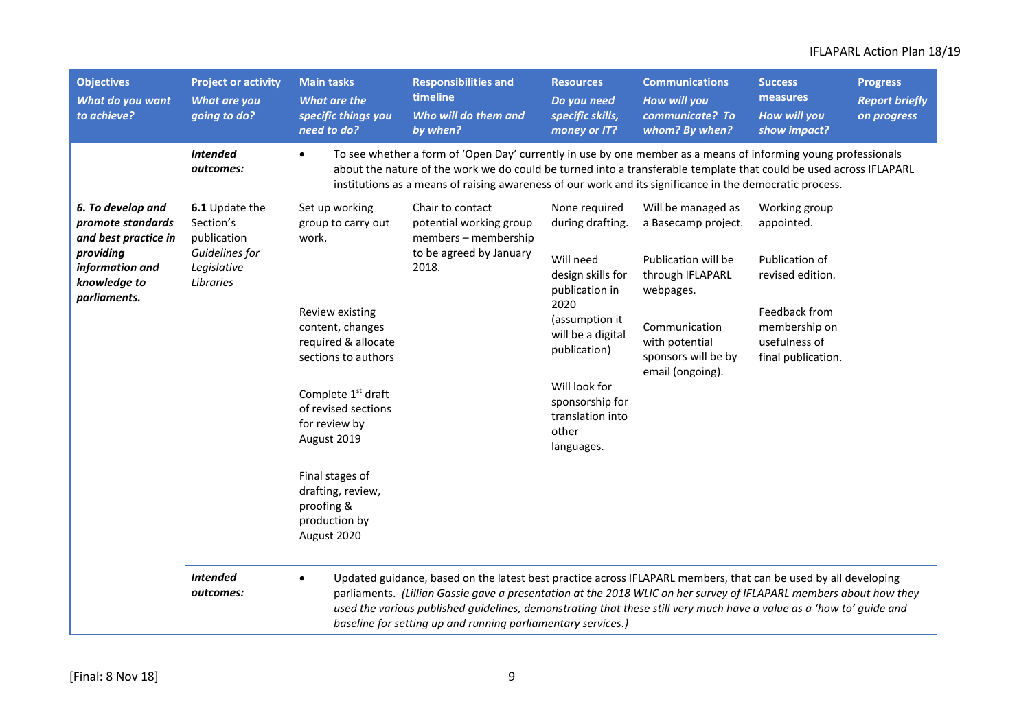| <b>Objectives</b><br>What do you want<br>to achieve?                                                                           | <b>Project or activity</b><br>What are you<br>going to do?                               | <b>Main tasks</b><br>What are the<br>specific things you<br>need to do?               | <b>Responsibilities and</b><br>timeline<br>Who will do them and<br>by when?                                                                                                                                                                                                                                                                                                                                                   | <b>Resources</b><br>Do you need<br>specific skills,<br>money or IT?                                                                                                                           | <b>Communications</b><br><b>How will you</b><br>communicate? To<br>whom? By when?         | <b>Success</b><br>measures<br><b>How will you</b><br>show impact? | <b>Progress</b><br><b>Report briefly</b><br>on progress |
|--------------------------------------------------------------------------------------------------------------------------------|------------------------------------------------------------------------------------------|---------------------------------------------------------------------------------------|-------------------------------------------------------------------------------------------------------------------------------------------------------------------------------------------------------------------------------------------------------------------------------------------------------------------------------------------------------------------------------------------------------------------------------|-----------------------------------------------------------------------------------------------------------------------------------------------------------------------------------------------|-------------------------------------------------------------------------------------------|-------------------------------------------------------------------|---------------------------------------------------------|
|                                                                                                                                | <b>Intended</b><br>outcomes:                                                             | $\bullet$                                                                             | To see whether a form of 'Open Day' currently in use by one member as a means of informing young professionals<br>about the nature of the work we do could be turned into a transferable template that could be used across IFLAPARL<br>institutions as a means of raising awareness of our work and its significance in the democratic process.                                                                              |                                                                                                                                                                                               |                                                                                           |                                                                   |                                                         |
| 6. To develop and<br>promote standards<br>and best practice in<br>providing<br>information and<br>knowledge to<br>parliaments. | 6.1 Update the<br>Section's<br>publication<br>Guidelines for<br>Legislative<br>Libraries | Set up working<br>group to carry out<br>work.                                         | Chair to contact<br>potential working group<br>members - membership<br>to be agreed by January                                                                                                                                                                                                                                                                                                                                | None required<br>during drafting.<br>Will need                                                                                                                                                | Will be managed as<br>a Basecamp project.<br>Publication will be                          | Working group<br>appointed.<br>Publication of                     |                                                         |
|                                                                                                                                |                                                                                          | Review existing<br>content, changes<br>required & allocate<br>sections to authors     | 2018.                                                                                                                                                                                                                                                                                                                                                                                                                         | design skills for<br>through IFLAPARL<br>publication in<br>webpages.<br>2020<br>(assumption it<br>Communication<br>will be a digital<br>with potential<br>publication)<br>sponsors will be by | revised edition.<br>Feedback from<br>membership on<br>usefulness of<br>final publication. |                                                                   |                                                         |
|                                                                                                                                |                                                                                          | Complete 1 <sup>st</sup> draft<br>of revised sections<br>for review by<br>August 2019 |                                                                                                                                                                                                                                                                                                                                                                                                                               | Will look for<br>sponsorship for<br>translation into<br>other<br>languages.                                                                                                                   | email (ongoing).                                                                          |                                                                   |                                                         |
|                                                                                                                                |                                                                                          | Final stages of<br>drafting, review,<br>proofing &<br>production by<br>August 2020    |                                                                                                                                                                                                                                                                                                                                                                                                                               |                                                                                                                                                                                               |                                                                                           |                                                                   |                                                         |
|                                                                                                                                | <b>Intended</b><br>outcomes:                                                             | $\bullet$                                                                             | Updated guidance, based on the latest best practice across IFLAPARL members, that can be used by all developing<br>parliaments. (Lillian Gassie gave a presentation at the 2018 WLIC on her survey of IFLAPARL members about how they<br>used the various published guidelines, demonstrating that these still very much have a value as a 'how to' guide and<br>baseline for setting up and running parliamentary services.) |                                                                                                                                                                                               |                                                                                           |                                                                   |                                                         |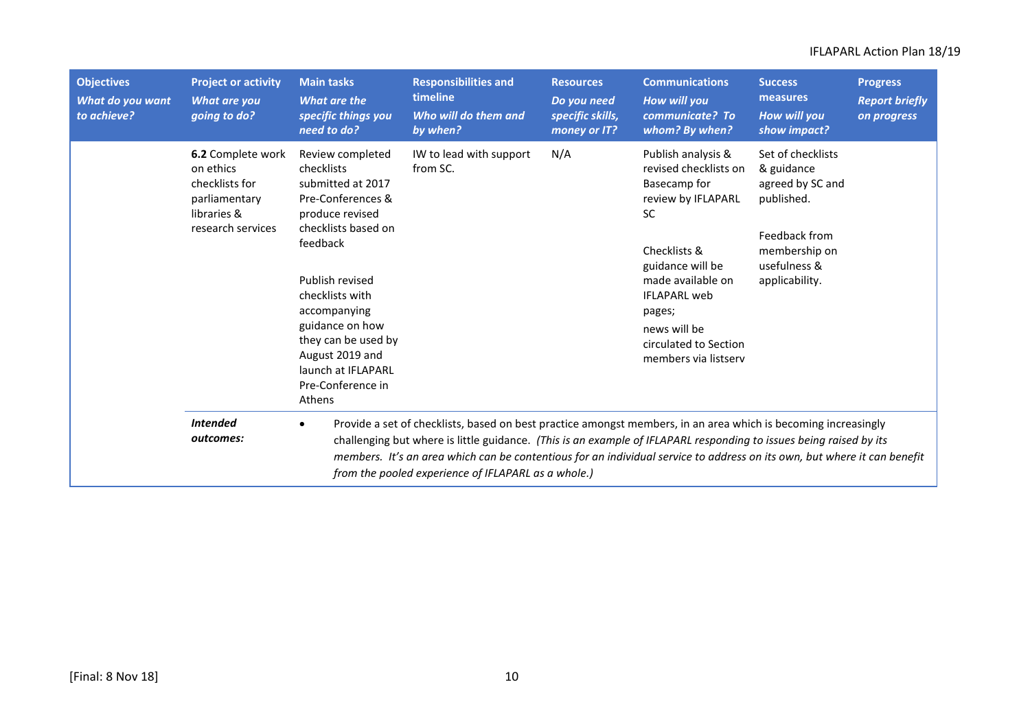| <b>Objectives</b><br>What do you want<br>to achieve? | <b>Project or activity</b><br>What are you<br>going to do?                                                   | <b>Main tasks</b><br>What are the<br>specific things you<br>need to do?                                                                                                                                                                                                                                                                                                                                                              | <b>Responsibilities and</b><br>timeline<br>Who will do them and<br>by when? | <b>Resources</b><br>Do you need<br>specific skills,<br>money or IT? | <b>Communications</b><br>How will you<br>communicate? To<br>whom? By when?                                                                                                                                                                                | <b>Success</b><br>measures<br>How will you<br>show impact?                                                                            | <b>Progress</b><br><b>Report briefly</b><br>on progress |
|------------------------------------------------------|--------------------------------------------------------------------------------------------------------------|--------------------------------------------------------------------------------------------------------------------------------------------------------------------------------------------------------------------------------------------------------------------------------------------------------------------------------------------------------------------------------------------------------------------------------------|-----------------------------------------------------------------------------|---------------------------------------------------------------------|-----------------------------------------------------------------------------------------------------------------------------------------------------------------------------------------------------------------------------------------------------------|---------------------------------------------------------------------------------------------------------------------------------------|---------------------------------------------------------|
|                                                      | <b>6.2</b> Complete work<br>on ethics<br>checklists for<br>parliamentary<br>libraries &<br>research services | Review completed<br>checklists<br>submitted at 2017<br>Pre-Conferences &<br>produce revised<br>checklists based on<br>feedback<br>Publish revised<br>checklists with<br>accompanying<br>guidance on how<br>they can be used by<br>August 2019 and<br>launch at IFLAPARL<br>Pre-Conference in<br>Athens                                                                                                                               | IW to lead with support<br>from SC.                                         | N/A                                                                 | Publish analysis &<br>revised checklists on<br>Basecamp for<br>review by IFLAPARL<br><b>SC</b><br>Checklists &<br>guidance will be<br>made available on<br><b>IFLAPARL</b> web<br>pages;<br>news will be<br>circulated to Section<br>members via listserv | Set of checklists<br>& guidance<br>agreed by SC and<br>published.<br>Feedback from<br>membership on<br>usefulness &<br>applicability. |                                                         |
|                                                      | <b>Intended</b><br>outcomes:                                                                                 | Provide a set of checklists, based on best practice amongst members, in an area which is becoming increasingly<br>$\bullet$<br>challenging but where is little guidance. (This is an example of IFLAPARL responding to issues being raised by its<br>members. It's an area which can be contentious for an individual service to address on its own, but where it can benefit<br>from the pooled experience of IFLAPARL as a whole.) |                                                                             |                                                                     |                                                                                                                                                                                                                                                           |                                                                                                                                       |                                                         |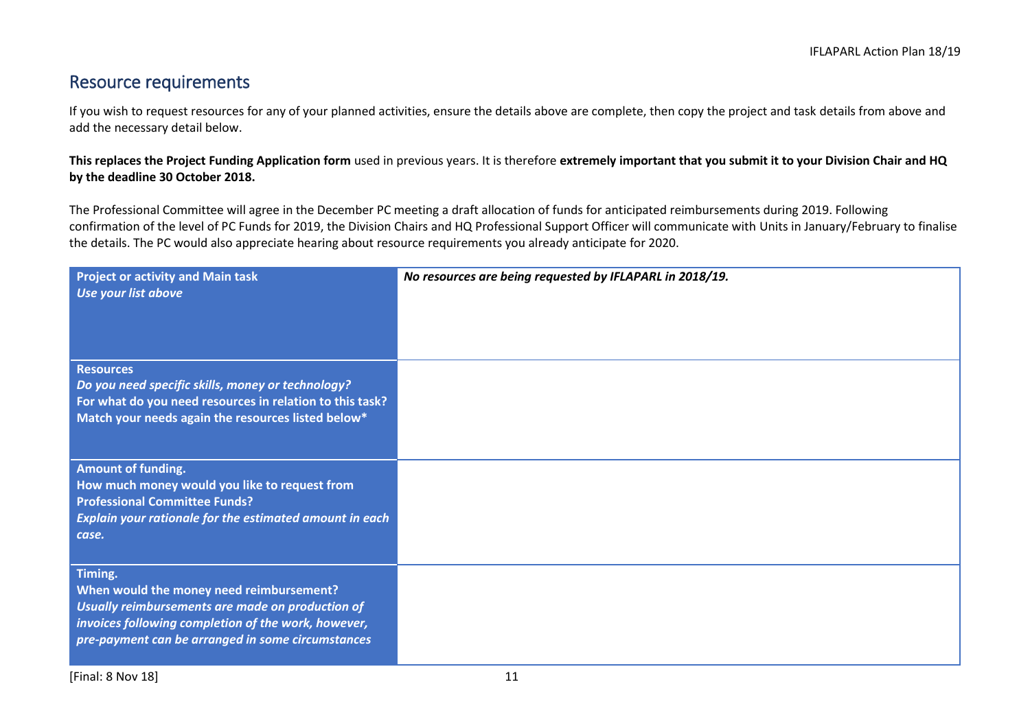# Resource requirements

If you wish to request resources for any of your planned activities, ensure the details above are complete, then copy the project and task details from above and add the necessary detail below.

**This replaces the Project Funding Application form** used in previous years. It is therefore **extremely important that you submit it to your Division Chair and HQ by the deadline 30 October 2018.**

The Professional Committee will agree in the December PC meeting a draft allocation of funds for anticipated reimbursements during 2019. Following confirmation of the level of PC Funds for 2019, the Division Chairs and HQ Professional Support Officer will communicate with Units in January/February to finalise the details. The PC would also appreciate hearing about resource requirements you already anticipate for 2020.

| <b>Project or activity and Main task</b><br>Use your list above                                                                                                                                                     | No resources are being requested by IFLAPARL in 2018/19. |
|---------------------------------------------------------------------------------------------------------------------------------------------------------------------------------------------------------------------|----------------------------------------------------------|
| <b>Resources</b><br>Do you need specific skills, money or technology?<br>For what do you need resources in relation to this task?<br>Match your needs again the resources listed below*                             |                                                          |
| Amount of funding.<br>How much money would you like to request from<br><b>Professional Committee Funds?</b><br>Explain your rationale for the estimated amount in each<br>case.                                     |                                                          |
| Timing.<br>When would the money need reimbursement?<br>Usually reimbursements are made on production of<br>invoices following completion of the work, however,<br>pre-payment can be arranged in some circumstances |                                                          |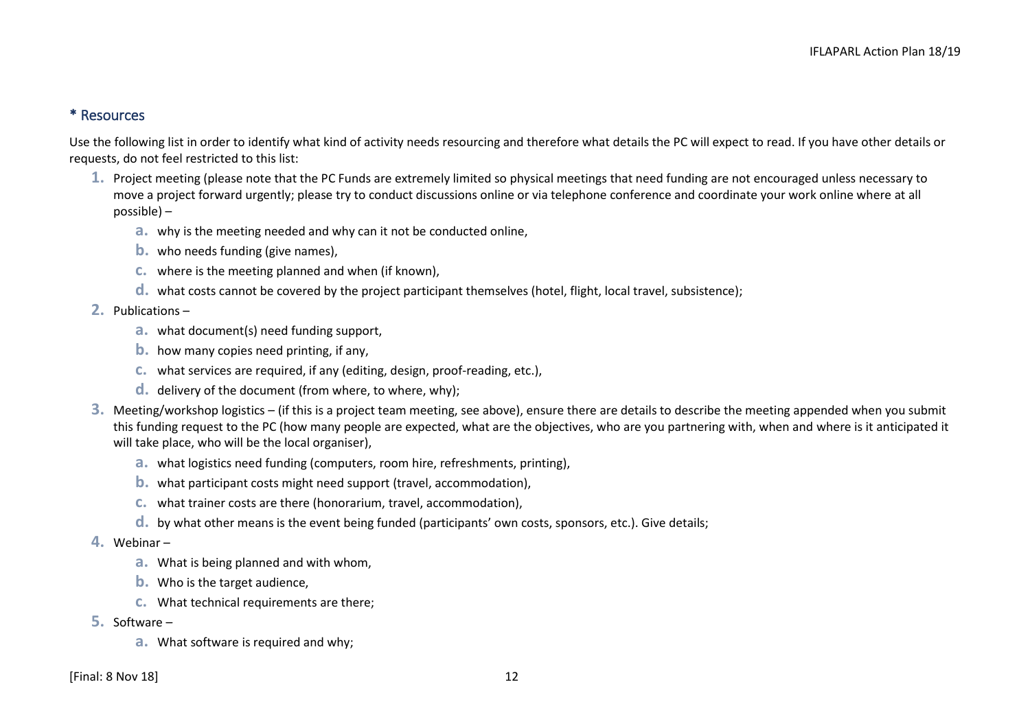#### \* Resources

Use the following list in order to identify what kind of activity needs resourcing and therefore what details the PC will expect to read. If you have other details or requests, do not feel restricted to this list:

- **1.** Project meeting (please note that the PC Funds are extremely limited so physical meetings that need funding are not encouraged unless necessary to move a project forward urgently; please try to conduct discussions online or via telephone conference and coordinate your work online where at all possible) –
	- **a.** why is the meeting needed and why can it not be conducted online,
	- **b.** who needs funding (give names),
	- **c.** where is the meeting planned and when (if known),
	- **d.** what costs cannot be covered by the project participant themselves (hotel, flight, local travel, subsistence);
- **2.** Publications
	- **a.** what document(s) need funding support,
	- **b.** how many copies need printing, if any,
	- **c.** what services are required, if any (editing, design, proof-reading, etc.),
	- **d.** delivery of the document (from where, to where, why);
- **3.** Meeting/workshop logistics (if this is a project team meeting, see above), ensure there are details to describe the meeting appended when you submit this funding request to the PC (how many people are expected, what are the objectives, who are you partnering with, when and where is it anticipated it will take place, who will be the local organiser),
	- **a.** what logistics need funding (computers, room hire, refreshments, printing),
	- **b.** what participant costs might need support (travel, accommodation),
	- **c.** what trainer costs are there (honorarium, travel, accommodation),
	- **d.** by what other means is the event being funded (participants' own costs, sponsors, etc.). Give details;
- **4.** Webinar
	- **a.** What is being planned and with whom,
	- **b.** Who is the target audience,
	- **c.** What technical requirements are there;
- **5.** Software
	- **a.** What software is required and why;